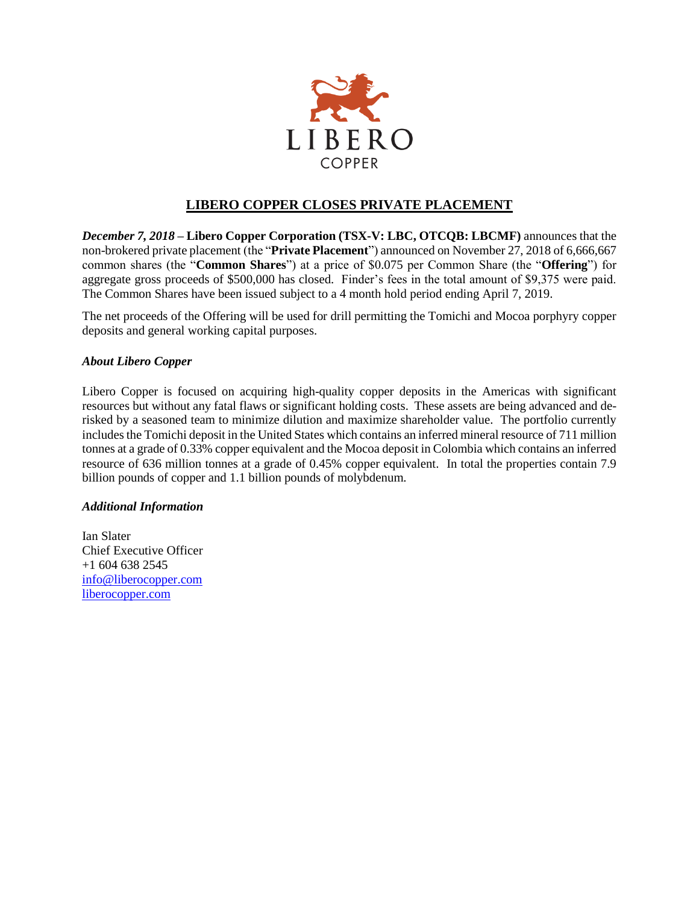

## **LIBERO COPPER CLOSES PRIVATE PLACEMENT**

*December 7, 2018* **– Libero Copper Corporation (TSX-V: LBC, OTCQB: LBCMF)** announces that the non-brokered private placement (the "**Private Placement**") announced on November 27, 2018 of 6,666,667 common shares (the "**Common Shares**") at a price of \$0.075 per Common Share (the "**Offering**") for aggregate gross proceeds of \$500,000 has closed. Finder's fees in the total amount of \$9,375 were paid. The Common Shares have been issued subject to a 4 month hold period ending April 7, 2019.

The net proceeds of the Offering will be used for drill permitting the Tomichi and Mocoa porphyry copper deposits and general working capital purposes.

## *About Libero Copper*

Libero Copper is focused on acquiring high-quality copper deposits in the Americas with significant resources but without any fatal flaws or significant holding costs. These assets are being advanced and derisked by a seasoned team to minimize dilution and maximize shareholder value. The portfolio currently includes the Tomichi deposit in the United States which contains an inferred mineral resource of 711 million tonnes at a grade of 0.33% copper equivalent and the Mocoa deposit in Colombia which contains an inferred resource of 636 million tonnes at a grade of 0.45% copper equivalent. In total the properties contain 7.9 billion pounds of copper and 1.1 billion pounds of molybdenum.

## *Additional Information*

Ian Slater Chief Executive Officer +1 604 638 2545 [info@liberocopper.com](mailto:info@liberocopper.com)  [liberocopper.com](file:///C:/Users/leohathaway/Downloads/www.liberocopper.com)